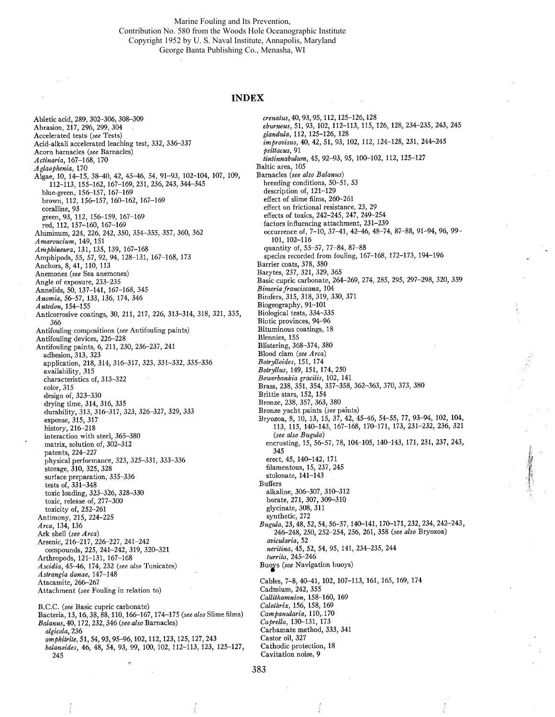Marine Fouling and Its Prevention, Contribution No. 580 from the Woods Hole Oceanographic Institute Copyright 1952 by U. S. Naval Institute, Annapolis, Maryland George Banta Publishing Co., Menasha, WI

## INDEX

erenatus, 40, 93, 95,112,125-126,128

Abietic acid, 289, 302-306, 308-309 Abrasion, 217, 296, 299, 304 Accelerated tests (see Tests) Acid-alkali accelerated leaching test, 332, 336-337 Acorn barnacles (see Barnacles) Aetinaria, 167-168, 170 Aglaophenia, 170 Algae, 10, 14-15, 38-40, 42, 45-46, 54, 91-93, 102-104, 107,109, 112-113, 155-162, 167-169, 231, 236, 243, 344-345 blue-green, 156-157, 167-169 brown, 112, 156-157, 160-162, 167-169 coralline, 93 green, 93, 112, 156-159, 167-169 red, 112, 157-160, 167-169 Aluminum, 224, 226, 242, 350, 354-355, 357, 360, 362 Amaroucium, 149, 151 Amphineura, 131, 135, 139, 167-168 Amphipods, 55,57,92,94,128-131,167-168,173 Anchors, 8, 41, 110, 113 Anemones (see Sea anemones) Angle of exposure, 233-235 Annelids, 50, 137-141, 167-168, 345 Anomia, 56-57, 133, 136, 174, 346 Antedon,154-155 Anticorrosive coatings, 30, 211, 217, 226, 313-314, 318, 321, 335, 366 Antifouling compositions (see Antifouling paints) Antifouling devices, 226-228 Antifouling paints, 6, 211, 230, 236-237, 241 adhesion, 313, 323 application, 218, 314, 316-317, 323, 331-332, 335-336 availability, 315 characteristics of, 313-322 color, 315 design of, 323-330 drying time, 314,316, 335 durability, 313, 316-317, 323, 326-327, 329, 333 expense, 315, 317 history, 216-218 interaction with steel, 365-380 matrix, solution of, 302-312 patents, 224-227 physical performance, 323, 325-331, 333-336 storage, 310, 325, 328 surface preparation, 335-336 tests of, 331-348 toxic loading, 323-326, 328-330 toxic, release of, 277-300 toxicity of, 252-261 Antimony, 215, 224-225 Area, 134, 136 Ark shell (see Area) Arsenic, 216-217, 226-227, 241-242 compounds, 225, 241-242, 319, 320-321 Arthropods, 121-131, 167-168 Aseidia, 45-46, 174, 232 (see also Tunicates) Astrangia danae, 147-148 Atacamite, 266-267 Attachment (see Fouling in relation to) B.C.C. (see Basic cupric carbonate) Bacteria, 13, 16,38,88, 110, 166-167, 174-175 (see also Slime films) Balanus, 40, 172,232,346 (see also Barnacles) algieola, 236 amphiwite, 51, 54, 93, 95-96, 102, 112, 123, 125, 127, 243 balanoides, 46, 48, 54,93, 99, 100,102,112-113,123, 125-127,

245

eburneus, 51, 93, 102, 112-113, 115, 126, 128,234-235,243, 245 glandula, 112, 125-126, 128 improvisus, 40, 42, 51, 93, 102, 112, 124-128, 231, 244-245 psittacus, 91 tintinnabulum, 45, 92-93, 95, 100-102, 112, 125-127 Baltic area, 105 Barnacles (see also Balanus) breeding conditions, 50-51, 53 description of, 121-129 effect of slime films, 260-261 effect on frictional resistance, 23, 29 effects of toxics, 242-245, 247, 249-254 factors influencing attachment, 231-239 occurrence of, 7-10, 37-41, 42-46, 48-74, 87-88, 91-94, 96, 99- 101, 102-116 quantity of, 55-57, 77-84, 87-88 species recorded from fouling, 167-168, 172-173, 194-196 Barrier coats, 378, 380 Barytes, 237, 321, 329, 365 Basic cupric carbonate, 264-269, 274, 285, 295, 297-298, 320, 359 Bimeria franciseana, 104 Binders, 315, 318, 319, 330, 371 Biogeography, 91-101 Biological tests, 334-335 Biotic provinces, 94-96 Bituminous coatings, 18 Blennies, 155 Blistering, 368-374, 380 Blood clam (see Area) Botrylloides, 151, 174 Botryllus, 149, 151, 174,250 Bowerbankia gracilis, 102, 141 Brass, 238, 351, 354, 357-358, 362-363, 370, 373, 380 Brittle stars, 152, 154 Bronze, 238, 357, 363, 380 Bronze yacht paints (see paints) Bryozoa, 8, 10, 13, 15, 37, 42, 45-46, 54-55, 77, 93-94, 102, 104, 113, 115, 140-143, 167-168, 170-171, 173, 231-232, 236, 321 (see also Bugula) encrusting, 15, 56-57, 78, 104-105, 140-143, 171, 231, 237, 243, 345 erect, 45, 140-142, 171 filamentous, 15, 237, 245 stolonate, 141-143 Buffers alkaline, 306-307, 310-312 borate, 271, 307, 309-310 glycinate, 308, 311 synthetic, 272 Bugula, 23,48,52,54,56-57,140141,170-171,232,234,242-243, 246-248, 250, 252-254, 256, 261, 358 (see also Bryozoa) avieularia, 52 neritina, 45, 52, 54, 95, 141, 234-235, 244 turrita, 245-246 Buoys (see Navigation buoys) Cables, 7-8, 40-41, 102, 107-113, 161, 165, 169, 174 Cadmium, 242, 355 Callithamnion, 158-160, 169 Calothrix, 156, 158, 169 Campanularia, 110, 170 Caprella, 130-131, 173 Carbamate method, 333, 341 Castor oil, 327 Cathodic protection, 18

L

-f,

Cavitation noise, 9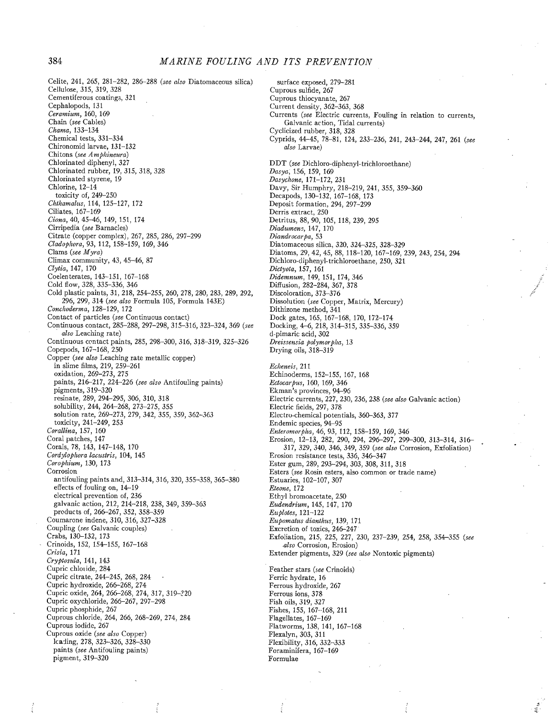Celite, 241, 265, 281-282, 286-288 (see also Diatomaceous silica) Cellulose, 315, 319, 328 Cementiferous coating3, 321 Cephalopods, 131 Ceramium, 160, 169 Chain (see Cables) Chama, 133-134 Chemical tests, 331-334 Chironomid larvae, 131-132 Chitons (see Amphineura) Chlorinated diphenyl, 327 Chlorinated rubber, 19, 315, 318, 328 Chlorinated styrene, 19 Chlorine, 12-14 toxicity of, 249-250 Chthamalus, 114, 125-127, 172 Ciliates, 167-169 Ciona, 40, 45-46, 149, 151, 174 Cirripedia (see Barnacles) Citrate (copper complex), 267, 285, 286, 297-299 Cladophora, 93, 112, 158-159, 169, 346 Clams (see Myra) Climax community, 43, 45-46, 87 Clytia, 147, 170 Coelenterates, 143-151, 167-168 Cold flow, 328, 335-336, 346 Cold plastic paints, 31, 218, 254-255, 260, 278, 280, 283, 289, 292, 296, 299, 314 (see also Formula 105, Formula 143E) Conehoderma, 128-129, 172 Contact of particles (see Continuous contact) Continuous contact, 285-288, 297-298, 315-316, 323-324, 369 (see also Leaching rate) Continuous contact paints, 285, 298-300, 316, 318-319, 325-326 Copepods, 167-168, 250 Copper (see also Leaching rate metallic copper) in slime films, 219, 259-261 oxidation, 269-273, 275 paints, 216-217, 224-226 (see also Antifouling paints) pigments, 319-320 resinate, 289, 294-295, 306, 310, 318 solubility, 244, 264-268, 273-275,355 solution rate, 269-273, 279, 342, 355, 359, 362-363 toxicity, 241-249, 253 Corallina, 157, 160 Coral patches, 147 Corals, 78,143,147-148,170 Cordylophora laeustris, 104, 145 Corophium, 130, 173 Corrosion antifouling paints and, 313-314, 316, 320, 355-358, 365-380 effects of fouling on, 14-19 electrical prevention of, 236 galvanic action, 212, 214-218, 238,349, 359-363 products of, 266-267, 352, 358-359 Coumarone indene,31O, 316, 327-328 Coupling (see Galvanic couples) Crabs, 130-132, 173 Crinoids, 152, 154-155, 167-168 Crisia, 171 Cryptosula, 141, 143 Cupric chloiide, 284 Cupric citrate, 244-245, 268, 284 Cupric hydroxide, 266-268, 274 Cupric oxide, 264, 266-268, 274, 317, 319-220 Cupric oxychloride, 266-267, 297-298 Cupric phosphide, 267 Cuprous chloride, 264, 266, 268-269, 274, 284 Cuprous iodide, 267 Cuprous oxide (see also Copper) lca:ling, 278, 323-326, 328-330 paints (see Antifouling paints) pigment, 319-320

surface exposed, 279-281 Cuprous sulfde, 267 Cuprous thiocyanate, 267 Current density, 362-363, 368 Currents (see Electric currents, Fouling in relation to currents, Galvanic action, Tidal currents) Cyclicized rubber, 318, 328 Cyprids, 44-45, 78-81, 124, 233-236, 241, 243-244, 247, 261 (see also Larvae) DDT (see Dichloro-diphenyl-trichloroethane) Dasya; 156, 159, 169 Dasyehone, 171-172,231 Davy, Sir Humphry, 218-219, 241, 355, 359-360 Decapods, 130-132, 167-168, 173 Deposit formation, 294, 297-299 Derris extract, 250 Detritus, 88, 90, 105, 118, 239, 295<br>*Diadumens*, 147, 170 Diandrocarpa, 53 Diatomaceous silica, 320, 324-325, 328-329 Diatoms, 29, 42, 45, 88, 118-120, 167-169, 239, 243, 254, 294 Dichloro-diphenyl-trichloroethane, 250, 321 Dietyota, 157, 161 Didemnum, 149, 151, 174,346 Diffusion, 282-284, 367, 378 Discoloration, 373-376 Dissolution (see Copper, Matrix, Mercury) Dithizone method, 341 Dock gates, 165, 167-168, 170, 172-174 Docking, 4-6, 218, 314-315, 335-336, 359 d-pimaric acid, 302 Dreissensia polymorplia, 13 Drying oils, 318-319

Eclieneis, 211 Echinoderms, 152-155, 167, 168 Ectocarpus, 160, 169,346 Ekman's provinces, 94-96 Electric currents, 227, 230, 236, 238 (see also Galvanic action) Electric fields, 297, 378 Electro-chemical potentials, 360-363, 377 Endemic species, 94-95 Enteromorpha, 46, 93, 112, 158-159, 169, 346 Erosion, 12-13, 282, 290, 294, 296-297, 299-300, 313-314, 316- 317, 329, 340, 346, 349, 359 (see also Corrosion, Exfoliation) Erosion resistance tests, 336, 346-347 Ester gum, 289, 293-294, 303, 308, 311, 318 Esters (see Rosin esters, also common or trade name) Estuaries, 102-107, 307 Eteone, 172 Ethyl bromoacetate, 250 Eudendrium, 145, 147, 170  $E$ *u*plotes,  $121-122$ Eiipomatus dianthus, 139, 171 Excretion of toxics, 246-247 Exfoliation, 215, 225, 227, 230, 237-239, 254, 258, 354-355 (see ,also Corrosion, Erosion) Extender pigments, 329 (see also Nontoxic pigments)

Í.

Feather stars (see Crinoids) Ferric hydrate, 16 Ferrous hydroxide, 267 Ferrous ions, 378 Fish oils, 319, 327 Fishes, 155, 167--168, 211 Flagellates, 167-169 Flatworms, 138, 141, 167-168 Flexalyn, 303, 311 Flexibility, 316, 332-333 Foraminifera, 167-169 Formulae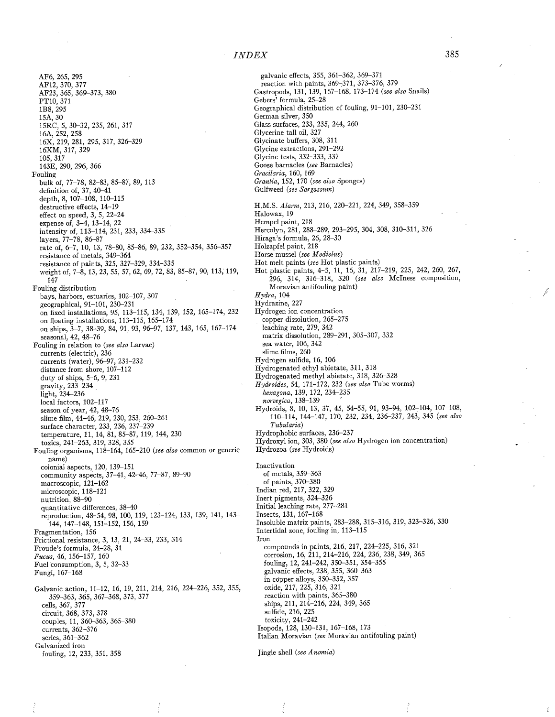AF6, 265, 295 AF12, 370, 377 AF23, 365, 369-373, 380 PT10, 371 1B8, 295 15A, 30 15RC, 5, 30-32, 235, 261, 317 16A, 252, 258 16X, 219, 281, 295, 317, 326-329 16XM, 317, 329 105, 317 143E, 290, 296,366 Fouling bulk of, 77-78, 82-83, 85-87, 89, 113 definition of, 37, 40-41 depth, 8,107-108, 110-115 destructive effects, 14-19 effect on speed, 3, 5, 22-24 expense of, 3-4, 13-14, 22 intensity of, 113-114,231,233,334-335 layers, 77-78, 86-87 rate of, 6-7, 10, 13, 78-80, 85-86, 89, 232, 352-354, 356-357 resistance of metals, 349-364 resistance of paints, 325, 327-329, 334-335 weight of, 7-8, 13, 23, 55, 57, 62, 69, 72, 83, 85-87, 90, 113, 119, 147 Fouling distribution bays, harbors, estuaries, 102-107, 307 geographical, 91-101, 230-231 on fixed installations, 95,113-115,134,139,152, 165-174,232 on floating installations, 113-115, 165-174 on ships, 3-7, 38-39, 84, 91, 93, 96-97, 137, 143, 165, 167-174 seasonal, 42, 48-76 Fouling in relation to (see also Larvae) currents (electric), 236 currents (water), 96-97, 231-232 distance from shore, 107-112 duty of ships, 5-6, 9, 231 gravity, 233-234 light, 234-236 local factors, 102-117 season of year, 42, 48-76 slime film, 44-46, 219, 230, 253, 260-261 surface character, 233, 236, 237-239 temperature, 11, 14, 81, 85-87, 119, 144, 230 toxics, 241-263, 319, 328, 355 Fouling organisms, 118-164, 165-210 (see also common or generic name) colonial aspects, 120, 139-151 community aspects, 37-41, 42-46, 77-87, 89-90 macroscopic, 121-162 microscopic, 118-121 nutrition, 88-90 quantitative differences, 38-40 reproduction, 48-54, 98, 100, 119, 123-124, 133, 139, 141, 143- 144,147-148, 151-152, 156, 159 Fragmentation, 156 Frictional resistance, 3, 13, 21, 24-33, 233, 314 Froude's formula, 24-28, 31 Fucus, 46, 156-157, 160 Fuel consumption, 3, 5, 32-33 Fungi, 167-168 Galvanic action, 11-12, 16, 19, 211, 214, 216, 224-226, 352, 355, 359-363, 365, 367-368, 373, 377 cells, 367, 377 circuit, 368, 373, 378 couples, 11,360-363,365-380 currents, 362-376 series, 361-362 Galvanized iron fouling, 12, 233, 351, 358

galvanic effects, 355, 361-362, 369-371 reaction with paints, 369-371, 373-376, 379 Gastropods, 131, 139, 167-168, 173-174 (see also Snails) Gebers' formula, 25-28 Geographical distribution cf fouling, 91-101, 230-231 German silver, 350 Glass surfaces, 233, 235, 244, 260 Glycerine tall oil, 327 Glycinate buffers, 308, 311 Glycine extractions, 291-292 Glycine tests, 332-333, 337 Goose barnacles (see Barnacles) Graeilaria, 160, 169 Grantia, 152, 170 (see also Sponges) Gulfweed (see Sargassum) H.M.S. Alarm, 213, 216, 220-221, 224, 349, 358-359 Halowax,19 Hempel paint, 218 Hercolyn, 281, 288-289, 293-295, 304, 308, 310-311, 326 Hiraga's formula, 26, 28-30 Holzapfel paint, 218 Horse mussel (see Modiolus) Hot melt paints (see Hot plastic paints) Hot plastic paints, 4-5, 11, 16, 31, 217-219, 225, 242, 260, 267, 296, 314, 316-318, 320 (see also McIness composition, Moravian antifouling paint) Hydra, 104 Hydrazine, 227 Hydrogen ion concentration copper dissolution, 265-275 leaching rate, 279, 342 matrix dissolution, 289-291, 305-307, 332 sea water, 106, 342 slime films, 260 Hydrogen sulfide, 16, 106 Hydrogenated ethyl abietate, 311, 318 Hydrogenated methyl abietate, 318, 326-328 Hydroides, 54,171-172,232 (see also Tube worms) hexagona, 139, 172, 234-235 norvegica, 138-139 Hydroids, 8, 10, 13, 37, 45, 54-55, 91, 93-94, 102-104, 107-108, 110-114, 144-147, 170, 232, 234, 236-237, 243, 345 (see also Tubularia) Hydrophobic surfaces, 236-237 Hydroxyl ion, 303, 380 (see also Hydrogen ion concentration) Hydrozoa (see Hydroids) **Inactivation** of metals, 359-363 of paints, 370-380 Indian red, 217, 322, 329 Inert pigments, 324-326 Initial leaching rate, 277-281 Insects, 131, 167-168 Insoluble matrix paints, 283-288, 315-316, 319, 323-326, 330 Intertidal zone, fouling in, 113-115 Iron compounds in paints, 216, 217, 224-225, 316, 321 corrosion, 16, 211, 214-216, 224, 236, 238, 349, 365 fouling, 12, 241-242, 350-351, 354-355 galvanic effects, 238, 355, 360-363 in copper alloys, 350-352, 357 oxide, 217, 225, 316, 321 reaction with paints, 365-380 ships, 211, 214-216, 224, 349, 365 sulfide, 216, 225 toxicity, 241-242 Isopods, 128, 130-131, 167-168, 173 Italian Moravian (see Moravian antifouling paint)

ł

Jingle shell (see Anomia)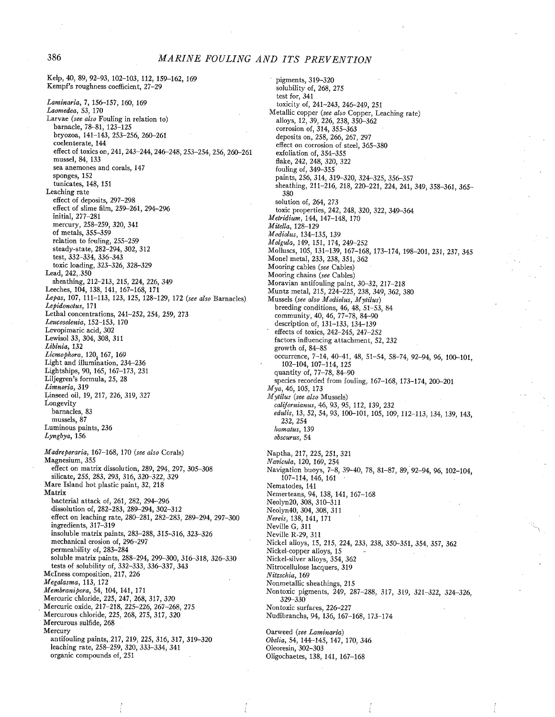386 MARINE FOULING AND ITS PREVENTION Kelp, 40,89,92-93, 102-103, 112, 159-162, 169 Kempf's roughness coefficient, 27-29 Laminaria, 7, 156-157, 160, 169 Laomedea, 53, 170 Larvae (see also Fouling in relation to) barnacle, 78-81, 123-125 bryozoa, 141-143, 253-256, 260-261 coelenterate, 144 effect of toxics on, 241, 243-244, 246-248, 253-254, 256, 260-261 mussel, 84, 133 sea anemones and corals, 147 sponges, 152 tunicates, 148, 151 Leaching rate effect of deposits, 297-298 effect of slime film, 259-261, 294-296 initial, 277-281 mercury, 258-259, 320, 341 of metals, 355-359 relation to feuling,  $255-259$ steady-state, 282-294, 302, 312 test, 332-334, 336-343 toxic loading, 323-326, 328-329 Lead, 242,.350 sheathing, 212-213, 215, 224, 226, 349 Leeches, 104, 138, 141, 167-168, 171 Lepas, 107, 111-113, 123, 125, 128-129, 172 (see also Barnacles) Lepidonotus, 171 Lethal concentrations, 241-252,254, 259, 273 Leucosolenia, 152-153, 170 Levopimaric acid, 302 Lewisol 33, 304, 308, 311 Libinia, 132  $Licmophora, 120, 167, 169$ Light and ilumination, 234-236 Lightships, 90,165, 167-173, 231 Liljegren's formula, 25, 28 Limnoria, 319 Linseed oil, 19, 217, 226, 319, 327 Longevity barnacles, 83 mussels, 87 Luminous paints, 236 Lyngbya, 156 Madreporaria, 167-168, 170 (see also Corals) Magnesium, 355 effect on matrix dissolution, 289, 294, 297, 305-308 silicate, 255, 283, 293, 316, 320-322, 329 Mare Island hot plastic paint, 32, 218 Matrix bacterial attack of, 261, 282, 294-296 dissolution of, 282-283, 289-294, 302-312 effect on leaching rate, 280-281, 282-283, 289-294, 297-300 ingredients, 317-319 insoluble matrix paints, 283-288,315-316, 323-326 mechanical erosion of, 296-297 permeability of, 283-284 soluble matrix paints, 288-294, 299-300, 316-318, 326-330 tests of solubility of, 332-333, 336-337, 343 McIness composition, 217, 226 M egalasma, 113, 172 Membranipora, 54, 104, 141, 171 Mercuric chloride, 225, 247, 268, 317, 320 Mercuric oxide, 217-218, 225-226, 267-268, 275

Mercurous chloride, 225, 268, 275, 317, 320 Mercurous sulfide, 268 Mercury

antifouling paints, 217, 219, 225,316,317,319-320 leaching rate, 258-259, 320, 333-334, 341 organic compounds of, 251

pigments, 319-320 solubility of, 268, 275 test for, 341 toxicity of, 241-243, 246-249, 251 Metallic copper (see also Copper, Leaching rate) alloys, 12, 39, 226, 238, 350-362 corrosion of, 314, 355-363 deposits on, 258, 266, 267, 297 effect on corrosion of steel, 365-380 exfoliation of, 354-355 flake, 242, 248, 320, 322 fouling of, 349-355 paints, 256, 314, 319-320, 324-325, 356-357 sheathing, 211-216, 218, 220-221, 224, 241, 349, 358-361, 365- 380 solution of, 264, 273 toxic properties, 242, 248, 320, 322, 349-364 Metridium, 144, 147-148, 170 Mitella, 128-129 Modiolus, 134-135, 139 Molgula, 149, 151, 174,249-252 Molluscs, 105, 131-139, 167-168, 173-174, 198-201, 231, 237, 345 Monel metal, 233, 238, 351, 362 Mooring cables (see Cables) Mooring chains (see Cables) Moravian antifouling paint, 30-32, 217-218 Muntz metal, 215, 224-225, 238, 349, 362, 380 Mussels (see also Modiolus, Mytilus) breeding conditions, 46, 48, 51-53, 84 community, 40, 46, 77-78, 84-90 description of, 131-133, 134-139 effects of toxics, 242-245, 247-252 factors influencing attachment, 52, 232 growth of, 84-85 occurrence, 7-14, 4041, 48, 51-54, 58-74, 92-94, 96, 100-101, 102-104, 107-114, 125 quantity of, 77-78, 84-90 species recorded from fouling, 167-168, 173-174, 200-201 Mya, 46,105,173 M ytilus (see also Mussels) californianus, 46, 93, 95, 112, 139, 232 edidis, 13, 52, 54, 93,100-101,105, 109, 112-113, 134, 139, 143, 232, 254 liamatus, 139 obscurus, 54 Naptha, 217, 225, 251, 321 Navicula, 120, 169, 254 . Navigation buoys, 7-8, 39-40, 78, 81-87, 89, 92-94, 96, 102-104, 107-114,146, 161 Nematodes, 141 Nemerteans, 94, 138, 141, 167-168 Neolyn20, 308, 310-311 Neolyn40, 304, 308, 311 Nereis, 138, 141, 171 Nevile G, 311 Nevile R-29, 311 Nickel alloys, 15, 215, 224, 233, 238, 350-351, 354, 357, 362 Nickel-copper alloys, 15 Nickel-silver alloys, 354, 362 Nitrocellulose lacquers, 319 Nitzschia, 169 Nonmetallic sheathings, 215 Nontoxic pigments, 249, 287-288, 317, 319, 321-322, 324-326, 329-330 Nontoxic surfaces, 226-227 Nudibranchs, 94, 136, 167-168, 173-174 Oarweed (see Laminaria)

Obelia, 54, 144-145, 147, 170, 346 Oleoresin, 302-303 Oligochaetes, 138, 141, 167-168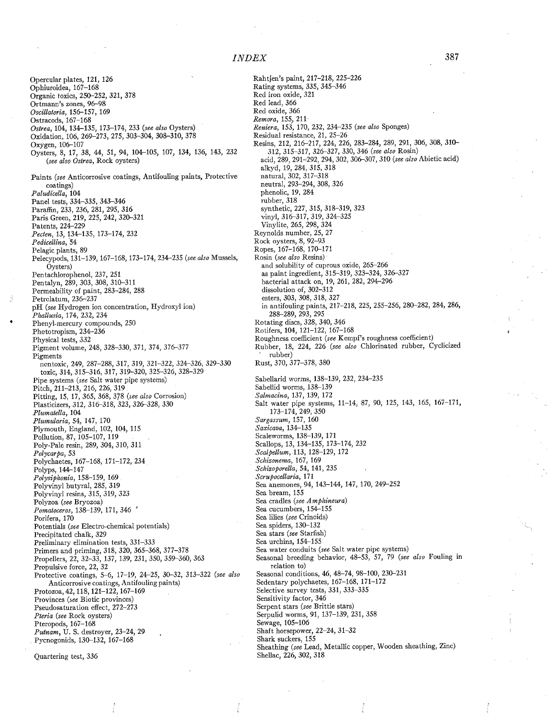Rahtjen's paint, 217-218, 225-226

Opercular plates, 121, 126 Ophiuroidea, 167-168 Organic toxics, 250-252, 321, 378 Ortmann's zones, 96-98 Oscillatoria, 156-157, 169 Ostracods, 167-168 Ostrea, 104, 134-135, 173-174,233 (see also Oysters) Oxidation, 106, 269-273, 275, 303-304, 308-310,378 Oxygen, 106-107 Oysters, 8, 17, 38, 44, 51, 94, 104-105, 107, 134, 136, 143, 232 (see also Ostrea, Rock oysters) Paints (see Anticorrosive coatings, Antifouling paints, Protective coatings) Paludicella, 104 Panel tests, 334-335, 343-346 Paraffn, 233, 236, 281, 295, 316 Paris Green, 219, 225, 242, 320-321 Patents, 224-229 Pecten, 13, 134-135, 173-174, 232 Pedicellina, 54 Pelagic plants, 89 Pelecypods, 131-139, 167-168, 173-174, 234-235 (see also Mussels, Oysters) Pentachlorophenol, 237, 251 Pentalyn, 289, 303, 308, 310-311 Permeability of paint, 283-284, 288 Petrolatum, 236-237 pH (see Hydrogen ion concentration, Hydroxyl ion) Phallusia, 174, 232, 234 Phenyl-mercury compounds, 250 Phototropism, 234-236 Physical tests, 332 Pigment volume, 248, 328-330, 371, 374, 376-377 Pigments nontoxic, 249, 287-288, 317, 319, 321-322, 324-326, 329-330 toxic, 314, 315-316, 317, 319~320, 325-326, 328-329 Pipe systems (see Salt water pipe systems) Pitch, 211-213, 216, 226, 319 Pitting, 15, 17,365,368,378 (see also Corrosion) Plasticizers, 312, 316-318, 323, 326-328, 330 Plumatella, 104 Plumularia, 54, 147, 170 Plymouth, England, 102, 104, 115 Pollution, 87, 105-107, 119 Poly-Pale resin, 289, 304, 310, 311 Polycarpa, 53 Polychaetes, 167-168, 171-172, 234 Polyps, 144-147 Polysiphonia, 158-159, 169 Polyvinyl butyral, 285, 319 Polyvinyl resins, 315, 319, 323 Polyzoa (see Bryozoa) Pomatoceros, 138-139, 171, 346 Porifera, 170 Potentials (see Electro-chemical potentials) Precipitated chalk, 329 Preliminary elimination tests, 331-333 Primers and priming, 318, 320, 365-368, 377-378 Propellers, 22, 32-33, 137, 139, 231, 350, 359-360, 363 Propulsive force, 22, 32 Protective coatings, 5-6, 17-19, 24-25, 30-32, 313-322 (see also Anticorrosive coatings, Antifouling paints) Protozoa, 42, 118, 121-122, 167-169 Provinces (see Biotic provinces) Pseudosaturation effect, 272-273 Pteria (see Rock oysters) Pteropods, 167-168 Putnam, U. S. destroyer, 23-24, 29 . Pycnogonids, 130-132, 167-168 Quartering test, 336

Rating systems, 335, 345-346 Red iron oxide, 321 Red lead, 366 Red oxide, 366 Remora, 155, 211 Reniera, 153, 170, 232, 234-235 (see also Sponges) Residual resistance, 21, 25-26 Resins, 212, 216-217, 224, 226, 283-284, 289, 291, 306, 308, 310- 312,315-317,326-327,330,346 (see also Rosin) acid, 289, 291-292, 294, 302, 306-307, 310 (see also Abietic acid) alkyd, 19, 284, 315, 318 natural, 302, 317-318 neutral, 293-294, 308, 326 phenolic, 19, 284 rubber, 318 synthetic, 227, 315, 318-319, 323 vinyl, 316-317, 319, 324-325 Vinylite, 265, 298, 324 Reynolds number, 25, 27 Rock oysters, 8, 92-93 Ropes, 167-168, 170-171 Rosin (see also Resins) and solubility of cuprous oxide, 265-266 as paint ingredient, 315-319, 323-324, 326-327 bacterial attack on, 19, 261, 282,294-296 dissolution of, 302-312 esters, 303, 308, 318, 327 in antifouling paints, 217-218, 225, 255-256, 280-282, 284, 286, 288-289, 293, 295 Rotating discs, 328, 340, 346 Rotifers, 104, 121-122, 167-168 Roughness coeffcient (see Kempf's roughness coeffcient) Rubber, 18, 224, 226 (see also Chlorinated rubber, Cyclicized rubber) Rust, 370, 377-378, 380 Sabellarid worms, 138-139, 232, 234-235 Sabellid worms, 138-139 Salmacina, 137, 139, 172 Salt water pipe systems, 11-14, 87, 90, 125, 143, 165, 167-171, 173-174,249,350 Sargassum, 157, 160 Saxicava, 134-135 Scaleworms, 138-139, 171 Scallops, 13, 134-135, 173-174, 232 Scalpellum, 113, 128-129, 172 Schizonema, 167, 169 Schizoporella, 54, 141, 235 Scrupocellaria, 171 Sea anemones, 94,143-144,147,170,249-252 Sea bream, 155 Sea cradles (see Amphineura) Sea cucumbers, 154-155 Sea lilies (see Crinoids) Sea spiders, 130-132 Sea stars (see Starfish) Sea urchins, 154-155 Sea water conduits (see Salt water pipe systems) Seasonal breeding behavior, 48-53, 57, 79 (see also Fouling in relation to) Seasonal conditions, 46, 48-74, 98-100, 230-231 Sedentary polychaetes, 167-168, 171-172 Selective survey tests, 331, 333-335 Sensitivity factor, 346 Serpent stars (see Brittle stars) Serpulid worms, 91, 137-139, 231, 358 Sewage, 105-106 Shaft horsepower, 22-24, 31-32 Shark suckers, 155 Sheathing (see Lead, Metallc copper, Wooden sheathing, Zinc) Shellac, 226, 302, 318